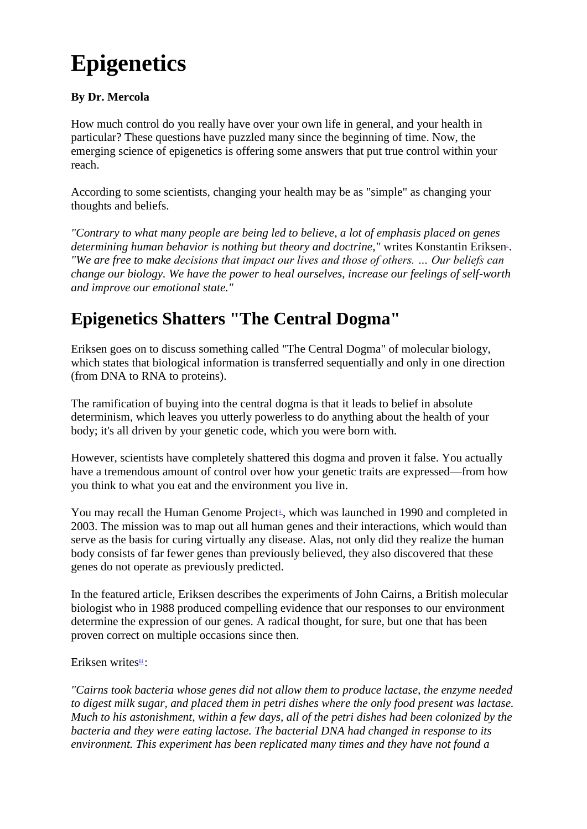# **Epigenetics**

#### **By Dr. Mercola**

How much control do you really have over your own life in general, and your health in particular? These questions have puzzled many since the beginning of time. Now, the emerging science of epigenetics is offering some answers that put true control within your reach.

According to some scientists, changing your health may be as "simple" as changing your thoughts and beliefs.

*"Contrary to what many people are being led to believe, a lot of emphasis placed on genes*  determi[n](http://articles.mercola.com/sites/articles/archive/2012/04/11/epigenetic-vs-determinism.aspx#_edn1)ing human behavior is nothing but theory and doctrine," writes Konstantin Eriksen<sup>i</sup>. *"We are free to make decisions that impact our lives and those of others. … Our beliefs can change our biology. We have the power to heal ourselves, increase our feelings of self-worth and improve our emotional state."*

# **Epigenetics Shatters "The Central Dogma"**

Eriksen goes on to discuss something called "The Central Dogma" of molecular biology, which states that biological information is transferred sequentially and only in one direction (from DNA to RNA to proteins).

The ramification of buying into the central dogma is that it leads to belief in absolute determinism, which leaves you utterly powerless to do anything about the health of your body; it's all driven by your genetic code, which you were born with.

However, scientists have completely shattered this dogma and proven it false. You actually have a tremendous amount of control over how your genetic traits are expressed—from how you think to what you eat and the environment you live in.

You may recall [t](http://articles.mercola.com/sites/articles/archive/2012/04/11/epigenetic-vs-determinism.aspx#_edn2)he Human Genome Project<sup>ii</sup>, which was launched in 1990 and completed in 2003. The mission was to map out all human genes and their interactions, which would than serve as the basis for curing virtually any disease. Alas, not only did they realize the human body consists of far fewer genes than previously believed, they also discovered that these genes do not operate as previously predicted.

In the featured article, Eriksen describes the experiments of John Cairns, a British molecular biologist who in 1988 produced compelling evidence that our responses to our environment determine the expression of our genes. A radical thought, for sure, but one that has been proven correct on multiple occasions since then.

Eriksen writesii[:](http://articles.mercola.com/sites/articles/archive/2012/04/11/epigenetic-vs-determinism.aspx#_edn3)

*"Cairns took bacteria whose genes did not allow them to produce lactase, the enzyme needed to digest milk sugar, and placed them in petri dishes where the only food present was lactase. Much to his astonishment, within a few days, all of the petri dishes had been colonized by the bacteria and they were eating lactose. The bacterial DNA had changed in response to its environment. This experiment has been replicated many times and they have not found a*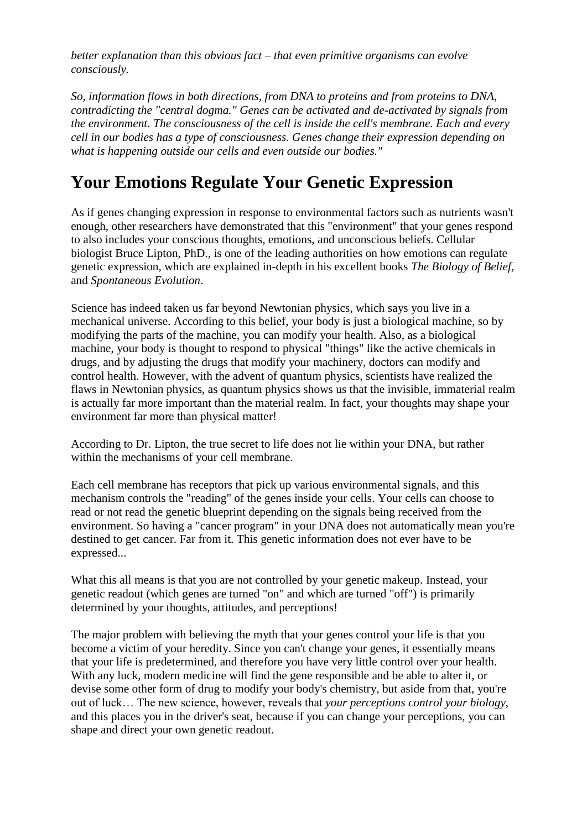*better explanation than this obvious fact – that even primitive organisms can evolve consciously.*

*So, information flows in both directions, from DNA to proteins and from proteins to DNA, contradicting the "central dogma." Genes can be activated and de-activated by signals from the environment. The consciousness of the cell is inside the cell's membrane. Each and every cell in our bodies has a type of consciousness. Genes change their expression depending on what is happening outside our cells and even outside our bodies."*

### **Your Emotions Regulate Your Genetic Expression**

As if genes changing expression in response to environmental factors such as nutrients wasn't enough, other researchers have demonstrated that this "environment" that your genes respond to also includes your conscious thoughts, emotions, and unconscious beliefs. Cellular biologist Bruce Lipton, PhD., is one of the leading authorities on how emotions can regulate genetic expression, which are explained in-depth in his excellent books *The Biology of Belief*, and *Spontaneous Evolution*.

Science has indeed taken us far beyond Newtonian physics, which says you live in a mechanical universe. According to this belief, your body is just a biological machine, so by modifying the parts of the machine, you can modify your health. Also, as a biological machine, your body is thought to respond to physical "things" like the active chemicals in drugs, and by adjusting the drugs that modify your machinery, doctors can modify and control health. However, with the advent of quantum physics, scientists have realized the flaws in Newtonian physics, as quantum physics shows us that the invisible, immaterial realm is actually far more important than the material realm. In fact, your thoughts may shape your environment far more than physical matter!

According to Dr. Lipton, the true secret to life does not lie within your DNA, but rather within the mechanisms of your cell membrane.

Each cell membrane has receptors that pick up various environmental signals, and this mechanism controls the "reading" of the genes inside your cells. Your cells can choose to read or not read the genetic blueprint depending on the signals being received from the environment. So having a "cancer program" in your DNA does not automatically mean you're destined to get cancer. Far from it. This genetic information does not ever have to be expressed...

What this all means is that you are not controlled by your genetic makeup. Instead, your genetic readout (which genes are turned "on" and which are turned "off") is primarily determined by your thoughts, attitudes, and perceptions!

The major problem with believing the myth that your genes control your life is that you become a victim of your heredity. Since you can't change your genes, it essentially means that your life is predetermined, and therefore you have very little control over your health. With any luck, modern medicine will find the gene responsible and be able to alter it, or devise some other form of drug to modify your body's chemistry, but aside from that, you're out of luck… The new science, however, reveals that *your perceptions control your biology*, and this places you in the driver's seat, because if you can change your perceptions, you can shape and direct your own genetic readout.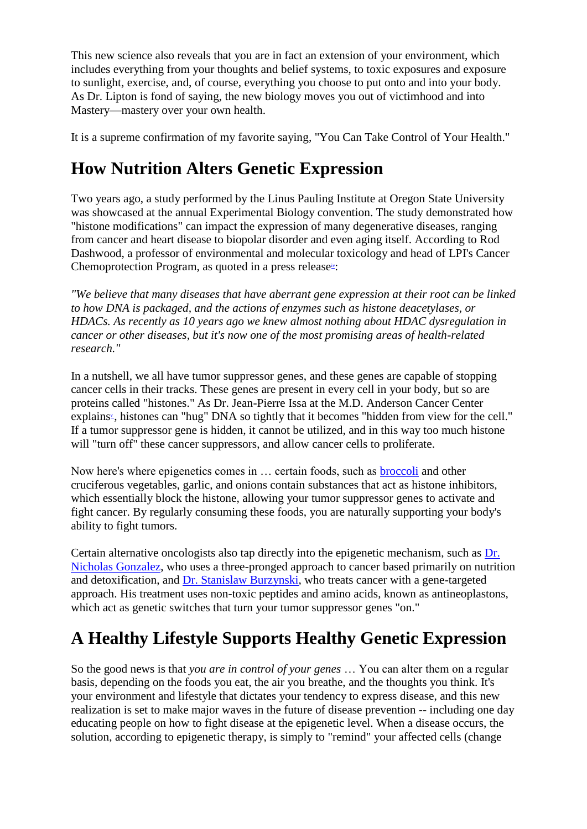This new science also reveals that you are in fact an extension of your environment, which includes everything from your thoughts and belief systems, to toxic exposures and exposure to sunlight, exercise, and, of course, everything you choose to put onto and into your body. As Dr. Lipton is fond of saying, the new biology moves you out of victimhood and into Mastery—mastery over your own health.

It is a supreme confirmation of my favorite saying, "You Can Take Control of Your Health."

# **How Nutrition Alters Genetic Expression**

Two years ago, a study performed by the Linus Pauling Institute at Oregon State University was showcased at the annual Experimental Biology convention. The study demonstrated how "histone modifications" can impact the expression of many degenerative diseases, ranging from cancer and heart disease to biopolar disorder and even aging itself. According to Rod Dashwood, a professor of environmental and molecular toxicology and head of LPI's Cancer Chemoprotection Program, as quoted in a press release<sup>iv</sup>[:](http://articles.mercola.com/sites/articles/archive/2012/04/11/epigenetic-vs-determinism.aspx#_edn4)

*"We believe that many diseases that have aberrant gene expression at their root can be linked to how DNA is packaged, and the actions of enzymes such as histone deacetylases, or HDACs. As recently as 10 years ago we knew almost nothing about HDAC dysregulation in cancer or other diseases, but it's now one of the most promising areas of health-related research."*

In a nutshell, we all have tumor suppressor genes, and these genes are capable of stopping cancer cells in their tracks. These genes are present in every cell in your body, but so are proteins called "histones." As Dr. Jean-Pierre Issa at the M.D. Anderson Cancer Center explains<sup>\*</sup>[,](http://articles.mercola.com/sites/articles/archive/2012/04/11/epigenetic-vs-determinism.aspx#_edn5) histones can "hug" DNA so tightly that it becomes "hidden from view for the cell." If a tumor suppressor gene is hidden, it cannot be utilized, and in this way too much histone will "turn off" these cancer suppressors, and allow cancer cells to proliferate.

Now here's where epigenetics comes in … certain foods, such as [broccoli](http://articles.mercola.com/sites/articles/archive/2008/07/22/how-broccoli-fights-cancer.aspx) and other cruciferous vegetables, garlic, and onions contain substances that act as histone inhibitors, which essentially block the histone, allowing your tumor suppressor genes to activate and fight cancer. By regularly consuming these foods, you are naturally supporting your body's ability to fight tumors.

Certain alternative oncologists also tap directly into the epigenetic mechanism, such as [Dr.](http://articles.mercola.com/sites/articles/archive/2011/04/23/dr-nicholas-gonzalez-on-alternative-cancer-treatments.aspx)  [Nicholas Gonzalez,](http://articles.mercola.com/sites/articles/archive/2011/04/23/dr-nicholas-gonzalez-on-alternative-cancer-treatments.aspx) who uses a three-pronged approach to cancer based primarily on nutrition and detoxification, and [Dr. Stanislaw Burzynski,](http://articles.mercola.com/sites/articles/archive/2011/06/11/burzynski-the-movie.aspx) who treats cancer with a gene-targeted approach. His treatment uses non-toxic peptides and amino acids, known as antineoplastons, which act as genetic switches that turn your tumor suppressor genes "on."

# **A Healthy Lifestyle Supports Healthy Genetic Expression**

So the good news is that *you are in control of your genes* … You can alter them on a regular basis, depending on the foods you eat, the air you breathe, and the thoughts you think. It's your environment and lifestyle that dictates your tendency to express disease, and this new realization is set to make major waves in the future of disease prevention -- including one day educating people on how to fight disease at the epigenetic level. When a disease occurs, the solution, according to epigenetic therapy, is simply to "remind" your affected cells (change